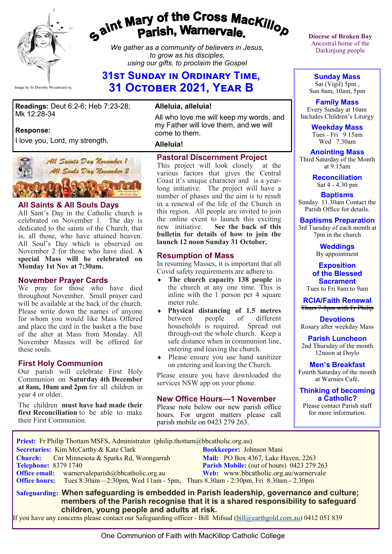

# gaint Mary of the Cross Mackillop<br>g<sup>aint</sup> Parish, Warnervale.

*We gather as a community of believers in Jesus, to grow as his disciples, using our gifts, to proclaim the Gospel*

# **31st Sunday in Ordinary Time, 31 October 2021, Year B**

**Readings:** Deut 6:2-6; Heb 7:23-28; Mk 12:28-34

#### **Response:**

I love you, Lord, my strength.



#### **All Saints & All Souls Days**

All Sant's Day in the Catholic church is celebrated on November 1. The day is dedicated to the saints of the Church, that is, all those, who have attained heaven. All Soul's Day which is observed on November 2 for those who have died. **A special Mass will be celebrated on Monday 1st Nov at 7:30am.**

#### **November Prayer Cards**

We pray for those who have died throughout November. Small prayer card will be available at the back of the church. Please write down the names of anyone for whom you would like Mass Offered and place the card in the basket a the base of the alter at Mass from Monday. All November Masses will be offered for these souls.

#### **First Holy Communion**

Our parish will celebrate First Holy Communion on **Saturday 4th December at 8am, 10am and 2pm** for all children in year 4 or older.

The children **must have had made their first Reconciliation** to be able to make their First Communion.

#### **Alleluia, alleluia!**

All who love me will keep my words, and my Father will love them, and we will come to them.

#### **Alleluia!**

#### **Pastoral Discernment Project**

This project will look closely at the various factors that gives the Central Coast it's unique character and is a yearlong initiative. The project will have a number of phases and the aim is to result in a renewal of the life of the Church in this region. All people are invited to join the online event to launch this exciting<br>new initiative. See the back of this See the back of this **bulletin for details of how to join the launch 12 noon Sunday 31 October.**

#### **Resumption of Mass**

In resuming Masses, it is important that all Covid safety requirements are adhere to.

- **The church capacity 138 people** in the church at any one time. This is inline with the 1 person per 4 square meter rule.
- **Physical distancing of 1.5 metres**  between people of different households is required. Spread out through-out the whole church. Keep a safe distance when in communion line, entering and leaving the church.
- Please ensure you use hand sanitizer on entering and leaving the Church.

Please ensure you have downloaded the services NSW app on your phone.

#### **New Office Hours—1 November**

Please note below our new parish office hours. For urgent matters please call parish mobile on 0423 279 263.

**Diocese of Broken Bay**  Ancestral home of the Darkinjung people

**Sunday Mass** Sat (Vigil) 5pm , Sun 8am, 10am, 5pm

**Family Mass**  Every Sunday at 10am Includes Children's Liturgy

> **Weekday Mass** Tues - Fri  $9.15$ am Wed 7.30am

**Anointing Mass** Third Saturday of the Month at 9:15am

> **Reconciliation** Sat 4 - 4.30 pm

**Baptisms** Sunday 11.30am Contact the Parish Office for details.

**Baptisms Preparation**

3rd Tuesday of each month at 7pm in the church

> **Weddings**  By appointment

**Exposition of the Blessed Sacrament** Tues to Fri 8am to 9am

**RCIA/Faith Renewal**  Thurs 7-8pm with Fr Philip

**Devotions** Rosary after weekday Mass

**Parish Luncheon** 2nd Thursday of the month 12noon at Doylo

**Men's Breakfast** Fourth Saturday of the month at Warnies Café.

#### **Thinking of becoming a Catholic?**

Please contact Parish staff for more information.

| Priest: Fr Philip Thottam MSFS, Administrator (philip.thottam@bbcatholic.org.au)                    |                                            |
|-----------------------------------------------------------------------------------------------------|--------------------------------------------|
| Secretaries: Kim McCarthy & Kate Clark                                                              | <b>Bookkeeper: Johnson Mani</b>            |
| <b>Church:</b> Cnr Minnesota & Sparks Rd, Woongarrah                                                | <b>Mail:</b> PO Box 4367, Lake Haven, 2263 |
| <b>Telephone: 8379 1740</b>                                                                         | Parish Mobile: (out of hours) 0423 279 263 |
| <b>Office email:</b> warnervaleparish@bbcatholic.org.au                                             | Web: www.bbcatholic.org.au/warnervale      |
| <b>Office hours:</b> Tues 8:30am—2:30pm, Wed 11am - 5pm, Thurs 8.30am - 2:30pm, Fri 8.30am - 2.30pm |                                            |
| Safeguarding: When safeguarding is embedded in Parish leadership, governance and culture;           |                                            |

 **members of the Parish recognise that it is a shared responsibility to safeguard children, young people and adults at risk.**

If you have any concerns please contact our Safeguarding officer - Bill Mifsud ([bill@earthgold.com.au\)](mailto:bill@earthgold.com.au) 0412 051 839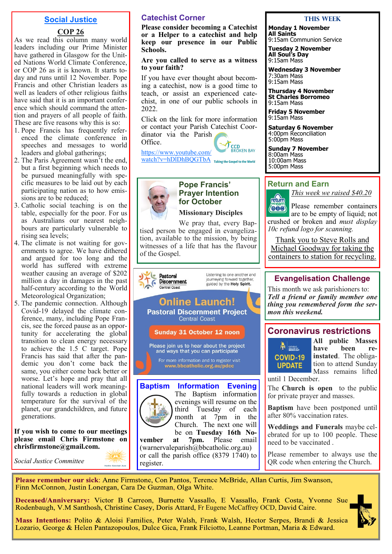#### **Social Justice**

#### **COP 26**

As we read this column many world leaders including our Prime Minister have gathered in Glasgow for the United Nations World Climate Conference, or COP 26 as it is known. It starts today and runs until 12 November. Pope Francis and other Christian leaders as well as leaders of other religious faiths have said that it is an important conference which should command the attention and prayers of all people of faith. These are five reasons why this is so:

- 1. Pope Francis has frequently referenced the climate conference in speeches and messages to world leaders and global gatherings;
- 2. The Paris Agreement wasn't the end, but a first beginning which needs to be pursued meaningfully with specific measures to be laid out by each participating nation as to how emissions are to be reduced;
- 3. Catholic social teaching is on the table, especially for the poor. For us as Australians our nearest neighbours are particularly vulnerable to rising sea levels;
- 4. The climate is not waiting for governments to agree. We have dithered and argued for too long and the world has suffered with extreme weather causing an average of \$202 million a day in damages in the past half-century according to the World Meteorological Organization;
- 5. The pandemic connection. Although Covid-19 delayed the climate conference, many, including Pope Francis, see the forced pause as an opportunity for accelerating the global transition to clean energy necessary to achieve the 1.5 C target. Pope Francis has said that after the pandemic you don't come back the same, you either come back better or worse. Let's hope and pray that all national leaders will work meaningfully towards a reduction in global temperature for the survival of the planet, our grandchildren, and future generations.

**If you wish to come to our meetings please email Chris Firmstone on chrisfirmstone@gmail.com.**

*Social Justice Committee* 

#### **Catechist Corner**

**Please consider becoming a Catechist or a Helper to a catechist and help keep our presence in our Public Schools.**

#### **Are you called to serve as a witness to your faith?**

If you have ever thought about becoming a catechist, now is a good time to teach, or assist an experienced catechist, in one of our public schools in 2022.

Click on the link for more information or contact your Parish Catechist Coordinator via the Parish

Office.



[https://www.youtube.com/](https://www.youtube.com/watch?v=hDlDhBQGTbA) watch?v=hDIDhBQGTbA Taking the Gospel to the World



## **Pope Francis' Prayer Intention for October**

**Missionary Disciples**

We pray that, every Baptised person be engaged in evangelization, available to the mission, by being witnesses of a life that has the flavour of the Gospel.



The Baptism information evenings will resume on the third Tuesday of each month at 7pm in the Church. The next one will be on **Tuesday 16th No-**<br>at 7pm. Please email

vember at 7pm. Please email  $(warnervaleparish@bbcatholic.org.au)$ or call the parish office (8379 1740) to register.

#### **This Week**

**Monday 1 November All Saints** 9:15am Communion Service

**Tuesday 2 November All Soul's Day** 9:15am Mass

**Wednesday 3 November** 7:30am Mass 9:15am Mass

**Thursday 4 November St Charles Borromeo** 9:15am Mass

**Friday 5 November** 9:15am Mass

**Saturday 6 November** 4:00pm Reconciliation 5:00pm Mass

**Sunday 7 November** 8:00am Mass 10:00am Mass 5:00pm Mass

#### **Return and Earn**



*This week we raised \$40.20* Please remember containers  $\langle 000 \rangle$ are to be empty of liquid; not

crushed or broken and *must display 10c refund logo for scanning.*

Thank you to Steve Rolls and Michael Goodway for taking the containers to station for recycling.

#### **Evangelisation Challenge**

This month we ask parishioners to: *Tell a friend or family member one thing you remembered form the sermon this weekend.*

#### **Coronavirus restrictions**



**All public Masses heen** re**instated**. The obligation to attend Sunday Mass remains lifted

until 1 December.

The **Church is open** to the public for private prayer and masses.

**Baptism** have been postponed until after 80% vaccination rates.

**Weddings and Funerals** maybe celebrated for up to 100 people. These need to be vaccinated .

Please remember to always use the QR code when entering the Church.

Please remember our sick: Anne Firmstone, Con Pantos, Terence McBride, Allan Curtis, Jim Swanson, Finn McConnon, Justin Lonergan, Cara De Guzman, Olga White.

Deceased/Anniversary: Victor B Carreon, Burnette Vassallo, E Vassallo, Frank Costa, Yvonne Sue Rodenbaugh, V.M Santhosh, Christine Casey, Doris Attard, Fr Eugene McCaffrey OCD, David Caire.

Mass Intentions: Polito & Aloisi Families, Peter Walsh, Frank Walsh, Hector Serpes, Brandi & Jessica Lozario, George & Helen Pantazopoulos, Dulce Gica, Frank Filciotto, Leanne Portman, Maria & Edward.

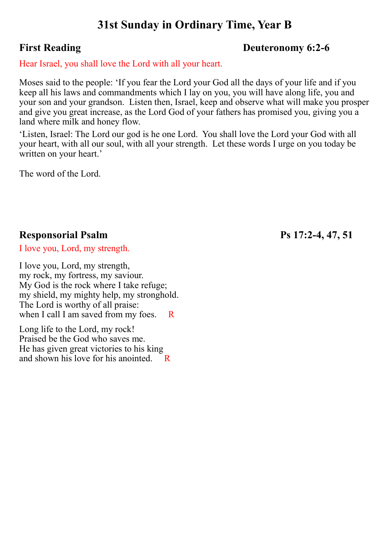# **31st Sunday in Ordinary Time, Year B**

# **First Reading Deuteronomy 6:2-6**

Hear Israel, you shall love the Lord with all your heart.

Moses said to the people: 'If you fear the Lord your God all the days of your life and if you keep all his laws and commandments which I lay on you, you will have along life, you and your son and your grandson. Listen then, Israel, keep and observe what will make you prosper and give you great increase, as the Lord God of your fathers has promised you, giving you a land where milk and honey flow.

'Listen, Israel: The Lord our god is he one Lord. You shall love the Lord your God with all your heart, with all our soul, with all your strength. Let these words I urge on you today be written on your heart.'

The word of the Lord.

# **Responsorial Psalm Ps 17:2-4, 47, 51**

I love you, Lord, my strength.

I love you, Lord, my strength, my rock, my fortress, my saviour. My God is the rock where I take refuge; my shield, my mighty help, my stronghold. The Lord is worthy of all praise: when I call I am saved from my foes. R

Long life to the Lord, my rock! Praised be the God who saves me. He has given great victories to his king and shown his love for his anointed.  $R$